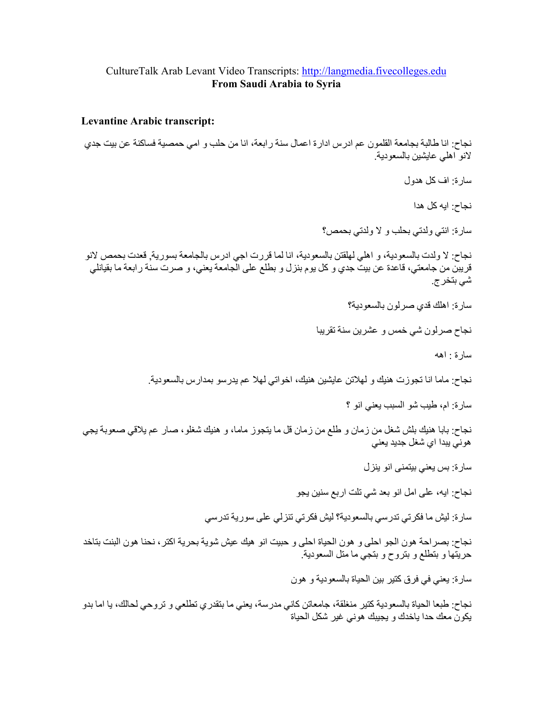## CultureTalk Arab Levant Video Transcripts: http://langmedia.fivecolleges.edu From Saudi Arabia to Syria

## **Levantine Arabic transcript:**

نجاح: انا طالبة بجامعة القلمون عم ادرس ادارة اعمال سنة رابعة، انا من حلب و امي حمصية فساكنة عن بيت جدي لانو اهلي عايشين بالسعودية

سارة · اف كل هدول

نجاح: ايه كل هدا

سارة: انتي ولدتي بحلب و لا ولدتي بحمص؟

نجاح: لا ولدت بالسعودية، و اهلي لهلقتن بالسعودية، انا لما قررت اجي ادرس بالجامعة بسورية<sub>،</sub> قعدت بحمص لانو قريبن من جامعتي، قاعدة عن بيت جدي و كل يوم بنزل و بطلع على الجامعة يعني، و صرت سنة رابعة ما بقيانلي شي بتخر ج.

سار ة: اهلك قدى صر لون بالسعو دية؟

نجاح صرلون شي خمس و عشرين سنة تقريبا

سارة واهه

نجاح: ماما انا تجوزت هنيك و لهلاتن عايشين هنيك، اخواتي لهلا عم يدرسو بمدارس بالسعودية.

سارة: ام، طيب شو السبب يعنى انو ؟

نجاح: بابا هنيك بلش شغل من زمان و طلع من زمان قل ما يتجوز ماما، و هنيك شغلو، صار عم يلاقي صعوبة يجي هوني پيدا اي شغل جديد يعني

سار ۃ: بس یعنی بیتمنی انو ینز ل

نجاح: ايه، على امل انو بعد شي تلت اربع سنين يجو

سارة: ليش ما فكرتي تدرسي بالسعودية؟ ليش فكرتي تنزلي على سورية تدرسي

نجاح: بصر احة هون الجو احلي و هون الحياة احلي و حبيت انو هيك عيش شوية بحرية اكتر ، نحنا هون البنت بتاخد حريَّتها و بتطلع و بتروح و بتجي ما متل السعودية.

سارة: يعني في فرق كتير بين الحياة بالسعودية و هون

نجاح: طبعا الحياة بالسعودية كتير منغلقة، جامعاتن كاني مدرسة، يعني ما بتقدري تطلعي و تروحي لحالك، يا اما بدو يكون معك حدا ياخدك و يجيبك هوني غير شكل الحياة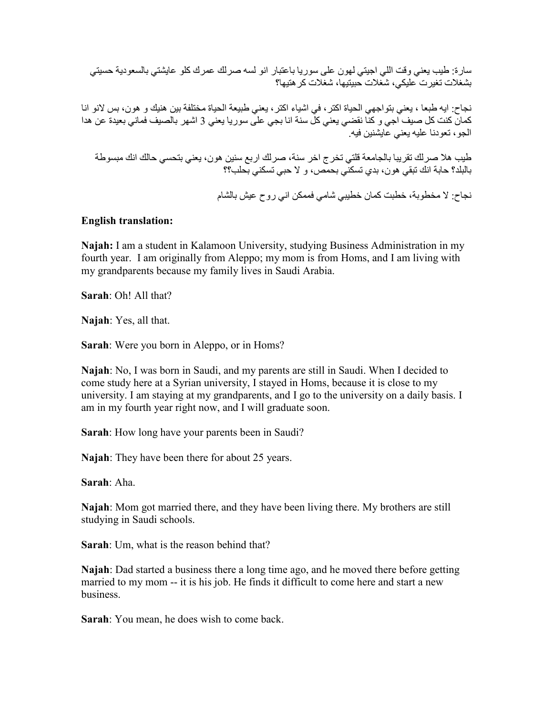سارة: طيب يعني وقت اللي اجيتي لهون على سوريا باعتبار انو لسه صرلك عمرك كلو عايشتي بالسعودية حسيتي بشغلات تغيرت عليكي، شغلات حبيتيها، شغلات كر هتبها؟

نجاح: ايه طبعا ، يعني بتواجهي الحياة اكتر ، في اشياء اكتر ، يعني طبيعة الحياة مختلفة بين هنيك و هون، بس لانو انا كمان كنت كل صبف ّاجي و كنّا نقضـي يعني كلّ سنة انا بجي عليّ سوريا يعني 3 اشهر بالصبف فماني بعيدة عن هدا الجو ، تعودنا عليه بعني عَابِشْنين فيه

طيب هلا صرلك تقريبا بالجامعة قلتي تخرج اخر سنة، صرلك اربع سنين هون، يعني بتحسى حالك انك مبسوطة بالبلد؟ حابة انك نبقى هون، بدى تسكنى بحمص، و لا حبى تسكنى بحلب؟؟

نجاح: لا مخطوبة، خطبت كمان خطبيي شامي فممكن اني ر و ح عبش بالشام

## **English translation:**

Najah: I am a student in Kalamoon University, studying Business Administration in my fourth year. I am originally from Aleppo; my mom is from Homs, and I am living with my grandparents because my family lives in Saudi Arabia.

**Sarah:** Oh! All that?

Najah: Yes, all that.

**Sarah:** Were you born in Aleppo, or in Homs?

Najah: No, I was born in Saudi, and my parents are still in Saudi. When I decided to come study here at a Syrian university, I stayed in Homs, because it is close to my university. I am staying at my grandparents, and I go to the university on a daily basis. I am in my fourth year right now, and I will graduate soon.

**Sarah:** How long have your parents been in Saudi?

**Najah:** They have been there for about 25 years.

Sarah: Aha.

Najah: Mom got married there, and they have been living there. My brothers are still studying in Saudi schools.

**Sarah**: Um, what is the reason behind that?

**Najah**: Dad started a business there a long time ago, and he moved there before getting married to my mom -- it is his job. He finds it difficult to come here and start a new business.

**Sarah:** You mean, he does wish to come back.